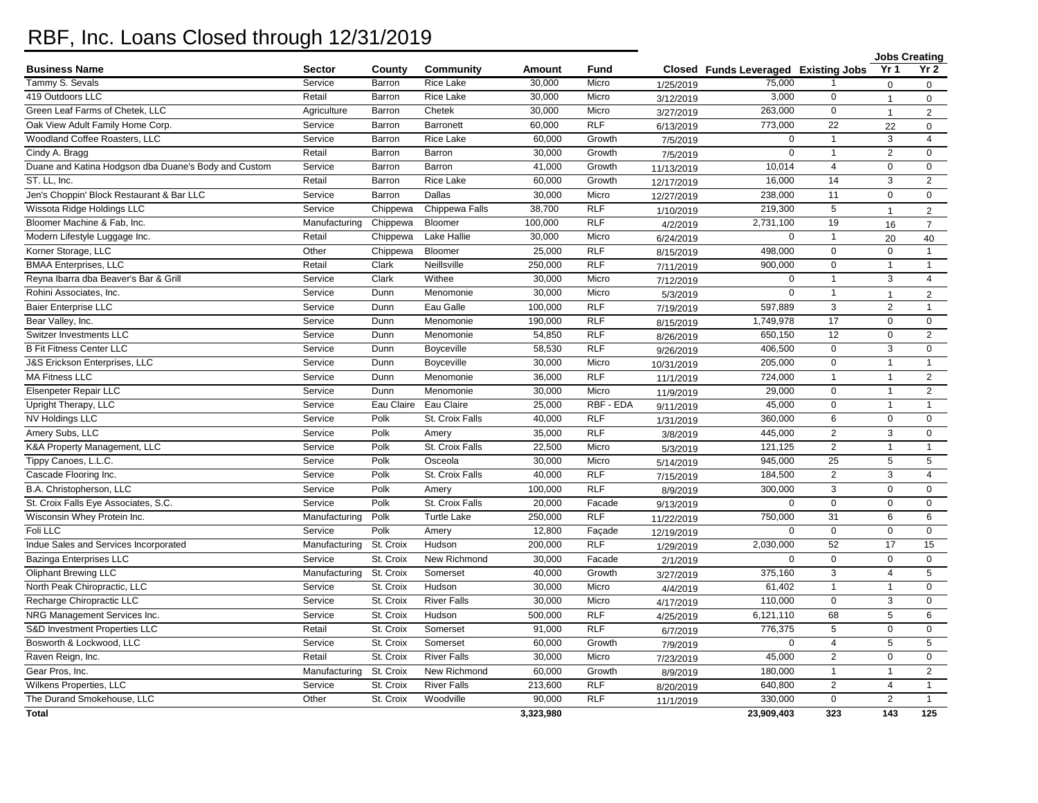## RBF, Inc. Loans Closed through 12/31/2019

| Yr 2<br>Yr <sub>1</sub><br><b>Business Name</b><br><b>Sector</b><br>County<br>Community<br>Amount<br>Fund<br>Closed Funds Leveraged Existing Jobs<br>Tammy S. Sevals<br><b>Rice Lake</b><br>Micro<br>75,000<br>Service<br>Barron<br>30,000<br>1/25/2019<br>$\mathbf 0$<br>$\Omega$<br>419 Outdoors LLC<br>30,000<br>3,000<br>Retail<br>Rice Lake<br>Micro<br>0<br>Barron<br>3/12/2019<br>$\mathbf{1}$<br>$\mathbf 0$<br>Green Leaf Farms of Chetek, LLC<br>Chetek<br>30,000<br>263,000<br>$\mathbf 0$<br>Agriculture<br>Barron<br>Micro<br>3/27/2019<br>$\overline{2}$<br>$\mathbf{1}$<br>RLF<br>773,000<br>$\overline{22}$<br>Oak View Adult Family Home Corp.<br>Barronett<br>60,000<br>Service<br>Barron<br>6/13/2019<br>22<br>$\mathbf 0$<br>Woodland Coffee Roasters, LLC<br>Service<br>Rice Lake<br>60,000<br>Growth<br>$\mathbf 0$<br>$\overline{1}$<br>3<br>Barron<br>$\overline{4}$<br>7/5/2019<br>$\overline{2}$<br>Cindy A. Bragg<br>Retail<br>Barron<br>Barron<br>30,000<br>Growth<br>$\mathbf 0$<br>$\overline{1}$<br>$\mathbf 0$<br>7/5/2019<br>Duane and Katina Hodgson dba Duane's Body and Custom<br>Service<br>Barron<br>41,000<br>Growth<br>10,014<br>$\overline{4}$<br>$\pmb{0}$<br>Barron<br>$\mathbf 0$<br>11/13/2019<br>ST. LL, Inc.<br>16,000<br>14<br>$\overline{3}$<br>Retail<br>Barron<br>Rice Lake<br>60,000<br>$\overline{2}$<br>Growth<br>12/17/2019<br>Jen's Choppin' Block Restaurant & Bar LLC<br>30,000<br>Service<br>Dallas<br>Micro<br>238,000<br>11<br>$\mathbf 0$<br>$\mathbf 0$<br>Barron<br>12/27/2019<br>Wissota Ridge Holdings LLC<br>Service<br>Chippewa<br>Chippewa Falls<br>38.700<br>RLF<br>219.300<br>$\overline{5}$<br>1/10/2019<br>$\mathbf{1}$<br>2<br><b>RLF</b><br>Bloomer Machine & Fab, Inc.<br>Chippewa<br>Bloomer<br>100,000<br>2,731,100<br>19<br>Manufacturing<br>16<br>$\overline{7}$<br>4/2/2019<br>Lake Hallie<br>30,000<br>Modern Lifestyle Luggage Inc.<br>Retail<br>Chippewa<br>Micro<br>$\Omega$<br>$\mathbf{1}$<br>20<br>6/24/2019<br>40<br>Korner Storage, LLC<br>Other<br>Bloomer<br>25,000<br><b>RLF</b><br>498,000<br>$\mathbf 0$<br>Chippewa<br>$\mathbf 0$<br>$\mathbf{1}$<br>8/15/2019<br><b>RLF</b><br>$\mathbf 0$<br><b>BMAA Enterprises, LLC</b><br>Retail<br>Clark<br>Neillsville<br>250,000<br>900,000<br>$\mathbf{1}$<br>$\mathbf{1}$<br>7/11/2019<br>Reyna Ibarra dba Beaver's Bar & Grill<br>Service<br>Clark<br>Withee<br>30,000<br>Micro<br>$\mathbf 0$<br>$\mathbf{1}$<br>3<br>$\overline{4}$<br>7/12/2019<br>30,000<br>Rohini Associates, Inc.<br>Service<br>Dunn<br>Menomonie<br>Micro<br>$\mathbf 0$<br>$\overline{1}$<br>5/3/2019<br>$\overline{2}$<br>$\mathbf{1}$<br><b>Baier Enterprise LLC</b><br>Eau Galle<br><b>RLF</b><br>3<br>$\overline{2}$<br>Service<br>Dunn<br>100,000<br>597,889<br>$\mathbf{1}$<br>7/19/2019<br><b>RLF</b><br>17<br>Bear Valley, Inc.<br>190,000<br>1,749,978<br>Service<br>Dunn<br>Menomonie<br>$\mathbf 0$<br>$\mathbf 0$<br>8/15/2019<br>54,850<br><b>RLF</b><br>650,150<br>12<br>$\mathbf 0$<br>$\overline{2}$<br>Switzer Investments LLC<br>Service<br>Dunn<br>Menomonie<br>8/26/2019<br><b>B Fit Fitness Center LLC</b><br>Service<br>58,530<br><b>RLF</b><br>406,500<br>$\mathbf 0$<br>$\mathsf 3$<br>$\mathbf 0$<br>Dunn<br>Boyceville<br>9/26/2019<br>0<br>J&S Erickson Enterprises, LLC<br>Service<br>Boyceville<br>30,000<br>Micro<br>205,000<br>Dunn<br>$\mathbf{1}$<br>$\mathbf{1}$<br>10/31/2019<br><b>MA Fitness LLC</b><br>36,000<br><b>RLF</b><br>Service<br>Menomonie<br>724,000<br>$\overline{1}$<br>$\mathbf{1}$<br>$\overline{2}$<br>Dunn<br>11/1/2019<br>Elsenpeter Repair LLC<br>Menomonie<br>29,000<br>$\mathbf 0$<br>$\overline{2}$<br>Service<br>Dunn<br>30,000<br>Micro<br>$\mathbf{1}$<br>11/9/2019<br>Eau Claire<br>RBF - EDA<br>45,000<br>$\Omega$<br>Upright Therapy, LLC<br>Service<br>Eau Claire<br>25,000<br>$\mathbf{1}$<br>$\mathbf{1}$<br>9/11/2019<br>NV Holdings LLC<br>Polk<br>St. Croix Falls<br>40,000<br><b>RLF</b><br>360,000<br>6<br>$\pmb{0}$<br>$\mathbf 0$<br>Service<br>1/31/2019<br>Amery Subs, LLC<br>Polk<br>35,000<br><b>RLF</b><br>445,000<br>$\overline{2}$<br>3<br>Service<br>$\mathbf 0$<br>Amery<br>3/8/2019<br>$\overline{2}$<br>K&A Property Management, LLC<br>Service<br>Polk<br>St. Croix Falls<br>22,500<br>Micro<br>121,125<br>$\mathbf{1}$<br>$\mathbf{1}$<br>5/3/2019<br>$\overline{25}$<br>5<br>5<br>Tippy Canoes, L.L.C.<br>Service<br>Polk<br>30,000<br>Micro<br>945,000<br>Osceola<br>5/14/2019<br>Cascade Flooring Inc.<br>St. Croix Falls<br>40,000<br><b>RLF</b><br>184,500<br>$\overline{2}$<br>Service<br>Polk<br>3<br>$\overline{4}$<br>7/15/2019<br>B.A. Christopherson, LLC<br><b>RLF</b><br>300,000<br>3<br>Service<br>Polk<br>100,000<br>$\mathbf 0$<br>0<br>Amery<br>8/9/2019<br>20,000<br>$\mathbf 0$<br>$\mathbf 0$<br>St. Croix Falls Eye Associates, S.C.<br>Service<br>Polk<br>St. Croix Falls<br>$\mathbf 0$<br>$\mathbf 0$<br>Facade<br>9/13/2019<br><b>RLF</b><br>31<br>Wisconsin Whey Protein Inc.<br>Manufacturing<br>Polk<br><b>Turtle Lake</b><br>250,000<br>750,000<br>6<br>6<br>11/22/2019<br>Foli LLC<br>Polk<br>12,800<br>$\mathbf 0$<br>$\mathbf 0$<br>$\mathbf 0$<br>Service<br>Façade<br>$\Omega$<br>Amery<br>12/19/2019<br><b>RLF</b><br>52<br>17<br>15<br>Indue Sales and Services Incorporated<br>Manufacturing<br>St. Croix<br>Hudson<br>200,000<br>2,030,000<br>1/29/2019<br><b>Bazinga Enterprises LLC</b><br>St. Croix<br>New Richmond<br>30,000<br>$\mathbf 0$<br>$\mathsf 0$<br>$\mathbf 0$<br>$\mathbf 0$<br>Service<br>Facade<br>2/1/2019<br><b>Oliphant Brewing LLC</b><br>St. Croix<br>40,000<br>375,160<br>3<br>$\overline{4}$<br>5<br>Manufacturing<br>Somerset<br>Growth<br>3/27/2019<br>North Peak Chiropractic, LLC<br>Service<br>St. Croix<br>Hudson<br>30,000<br>Micro<br>61,402<br>$\overline{1}$<br>$\mathbf 0$<br>$\mathbf{1}$<br>4/4/2019<br>St. Croix<br>3<br>Recharge Chiropractic LLC<br>Service<br><b>River Falls</b><br>30,000<br>Micro<br>110,000<br>$\mathbf 0$<br>$\mathbf 0$<br>4/17/2019<br>NRG Management Services Inc.<br><b>RLF</b><br>68<br>Service<br>St. Croix<br>Hudson<br>500,000<br>6,121,110<br>5<br>6<br>4/25/2019<br>RLF<br>S&D Investment Properties LLC<br>Retail<br>St. Croix<br>Somerset<br>91.000<br>776,375<br>5<br>$\mathbf 0$<br>$\mathbf 0$<br>6/7/2019<br>Bosworth & Lockwood, LLC<br>Service<br>St. Croix<br>Somerset<br>60,000<br>Growth<br>$\mathbf 0$<br>5<br>5<br>4<br>7/9/2019<br>Raven Reign, Inc.<br>Retail<br>St. Croix<br><b>River Falls</b><br>30,000<br>Micro<br>45,000<br>$\overline{2}$<br>$\mathbf 0$<br>$\mathbf 0$<br>7/23/2019<br>Gear Pros, Inc.<br>St. Croix<br>New Richmond<br>60,000<br>180,000<br>Manufacturing<br>Growth<br>$\mathbf{1}$<br>$\mathbf{1}$<br>$\overline{2}$<br>8/9/2019<br>$\overline{2}$<br>Wilkens Properties, LLC<br>St. Croix<br><b>River Falls</b><br>213,600<br><b>RLF</b><br>640,800<br>$\overline{4}$<br>Service<br>$\mathbf{1}$<br>8/20/2019<br>90,000<br>$\overline{0}$<br>$\overline{2}$<br>The Durand Smokehouse, LLC<br>Other<br>St. Croix<br>Woodville<br><b>RLF</b><br>330,000<br>$\mathbf{1}$<br>11/1/2019<br>125<br><b>Total</b><br>3,323,980<br>23,909,403<br>323<br>143 |  |  |  |  | <b>Jobs Creating</b> |  |  |
|----------------------------------------------------------------------------------------------------------------------------------------------------------------------------------------------------------------------------------------------------------------------------------------------------------------------------------------------------------------------------------------------------------------------------------------------------------------------------------------------------------------------------------------------------------------------------------------------------------------------------------------------------------------------------------------------------------------------------------------------------------------------------------------------------------------------------------------------------------------------------------------------------------------------------------------------------------------------------------------------------------------------------------------------------------------------------------------------------------------------------------------------------------------------------------------------------------------------------------------------------------------------------------------------------------------------------------------------------------------------------------------------------------------------------------------------------------------------------------------------------------------------------------------------------------------------------------------------------------------------------------------------------------------------------------------------------------------------------------------------------------------------------------------------------------------------------------------------------------------------------------------------------------------------------------------------------------------------------------------------------------------------------------------------------------------------------------------------------------------------------------------------------------------------------------------------------------------------------------------------------------------------------------------------------------------------------------------------------------------------------------------------------------------------------------------------------------------------------------------------------------------------------------------------------------------------------------------------------------------------------------------------------------------------------------------------------------------------------------------------------------------------------------------------------------------------------------------------------------------------------------------------------------------------------------------------------------------------------------------------------------------------------------------------------------------------------------------------------------------------------------------------------------------------------------------------------------------------------------------------------------------------------------------------------------------------------------------------------------------------------------------------------------------------------------------------------------------------------------------------------------------------------------------------------------------------------------------------------------------------------------------------------------------------------------------------------------------------------------------------------------------------------------------------------------------------------------------------------------------------------------------------------------------------------------------------------------------------------------------------------------------------------------------------------------------------------------------------------------------------------------------------------------------------------------------------------------------------------------------------------------------------------------------------------------------------------------------------------------------------------------------------------------------------------------------------------------------------------------------------------------------------------------------------------------------------------------------------------------------------------------------------------------------------------------------------------------------------------------------------------------------------------------------------------------------------------------------------------------------------------------------------------------------------------------------------------------------------------------------------------------------------------------------------------------------------------------------------------------------------------------------------------------------------------------------------------------------------------------------------------------------------------------------------------------------------------------------------------------------------------------------------------------------------------------------------------------------------------------------------------------------------------------------------------------------------------------------------------------------------------------------------------------------------------------------------------------------------------------------------------------------------------------------------------------------------------------------------------------------------------------------------------------------------------------------------------------------------------------------------------------------------------------------------------------------------------------------------------------------------------------------------------------------------------------------------------------------------------------------------------------------------------------------------------------------------------------------------------------------------------------------------------------------------------------------------------------------------------------------------------------------------------------------------------------------------------------------------------------------------------------------------------------------------------------------------------------------------------------------------------------------------------------------------------------------------------------------------------------------------------------------------------------------------------------------------------------------------------------------------------------------------------------------------------------------------------------------------------------------------------------------------------------------------------------------------------------------------|--|--|--|--|----------------------|--|--|
|                                                                                                                                                                                                                                                                                                                                                                                                                                                                                                                                                                                                                                                                                                                                                                                                                                                                                                                                                                                                                                                                                                                                                                                                                                                                                                                                                                                                                                                                                                                                                                                                                                                                                                                                                                                                                                                                                                                                                                                                                                                                                                                                                                                                                                                                                                                                                                                                                                                                                                                                                                                                                                                                                                                                                                                                                                                                                                                                                                                                                                                                                                                                                                                                                                                                                                                                                                                                                                                                                                                                                                                                                                                                                                                                                                                                                                                                                                                                                                                                                                                                                                                                                                                                                                                                                                                                                                                                                                                                                                                                                                                                                                                                                                                                                                                                                                                                                                                                                                                                                                                                                                                                                                                                                                                                                                                                                                                                                                                                                                                                                                                                                                                                                                                                                                                                                                                                                                                                                                                                                                                                                                                                                                                                                                                                                                                                                                                                                                                                                                                                                                                                                                                                                                                                                                                                                                                                                                                                                                                                                                                                                                                                                                                                                      |  |  |  |  |                      |  |  |
|                                                                                                                                                                                                                                                                                                                                                                                                                                                                                                                                                                                                                                                                                                                                                                                                                                                                                                                                                                                                                                                                                                                                                                                                                                                                                                                                                                                                                                                                                                                                                                                                                                                                                                                                                                                                                                                                                                                                                                                                                                                                                                                                                                                                                                                                                                                                                                                                                                                                                                                                                                                                                                                                                                                                                                                                                                                                                                                                                                                                                                                                                                                                                                                                                                                                                                                                                                                                                                                                                                                                                                                                                                                                                                                                                                                                                                                                                                                                                                                                                                                                                                                                                                                                                                                                                                                                                                                                                                                                                                                                                                                                                                                                                                                                                                                                                                                                                                                                                                                                                                                                                                                                                                                                                                                                                                                                                                                                                                                                                                                                                                                                                                                                                                                                                                                                                                                                                                                                                                                                                                                                                                                                                                                                                                                                                                                                                                                                                                                                                                                                                                                                                                                                                                                                                                                                                                                                                                                                                                                                                                                                                                                                                                                                                      |  |  |  |  |                      |  |  |
|                                                                                                                                                                                                                                                                                                                                                                                                                                                                                                                                                                                                                                                                                                                                                                                                                                                                                                                                                                                                                                                                                                                                                                                                                                                                                                                                                                                                                                                                                                                                                                                                                                                                                                                                                                                                                                                                                                                                                                                                                                                                                                                                                                                                                                                                                                                                                                                                                                                                                                                                                                                                                                                                                                                                                                                                                                                                                                                                                                                                                                                                                                                                                                                                                                                                                                                                                                                                                                                                                                                                                                                                                                                                                                                                                                                                                                                                                                                                                                                                                                                                                                                                                                                                                                                                                                                                                                                                                                                                                                                                                                                                                                                                                                                                                                                                                                                                                                                                                                                                                                                                                                                                                                                                                                                                                                                                                                                                                                                                                                                                                                                                                                                                                                                                                                                                                                                                                                                                                                                                                                                                                                                                                                                                                                                                                                                                                                                                                                                                                                                                                                                                                                                                                                                                                                                                                                                                                                                                                                                                                                                                                                                                                                                                                      |  |  |  |  |                      |  |  |
|                                                                                                                                                                                                                                                                                                                                                                                                                                                                                                                                                                                                                                                                                                                                                                                                                                                                                                                                                                                                                                                                                                                                                                                                                                                                                                                                                                                                                                                                                                                                                                                                                                                                                                                                                                                                                                                                                                                                                                                                                                                                                                                                                                                                                                                                                                                                                                                                                                                                                                                                                                                                                                                                                                                                                                                                                                                                                                                                                                                                                                                                                                                                                                                                                                                                                                                                                                                                                                                                                                                                                                                                                                                                                                                                                                                                                                                                                                                                                                                                                                                                                                                                                                                                                                                                                                                                                                                                                                                                                                                                                                                                                                                                                                                                                                                                                                                                                                                                                                                                                                                                                                                                                                                                                                                                                                                                                                                                                                                                                                                                                                                                                                                                                                                                                                                                                                                                                                                                                                                                                                                                                                                                                                                                                                                                                                                                                                                                                                                                                                                                                                                                                                                                                                                                                                                                                                                                                                                                                                                                                                                                                                                                                                                                                      |  |  |  |  |                      |  |  |
|                                                                                                                                                                                                                                                                                                                                                                                                                                                                                                                                                                                                                                                                                                                                                                                                                                                                                                                                                                                                                                                                                                                                                                                                                                                                                                                                                                                                                                                                                                                                                                                                                                                                                                                                                                                                                                                                                                                                                                                                                                                                                                                                                                                                                                                                                                                                                                                                                                                                                                                                                                                                                                                                                                                                                                                                                                                                                                                                                                                                                                                                                                                                                                                                                                                                                                                                                                                                                                                                                                                                                                                                                                                                                                                                                                                                                                                                                                                                                                                                                                                                                                                                                                                                                                                                                                                                                                                                                                                                                                                                                                                                                                                                                                                                                                                                                                                                                                                                                                                                                                                                                                                                                                                                                                                                                                                                                                                                                                                                                                                                                                                                                                                                                                                                                                                                                                                                                                                                                                                                                                                                                                                                                                                                                                                                                                                                                                                                                                                                                                                                                                                                                                                                                                                                                                                                                                                                                                                                                                                                                                                                                                                                                                                                                      |  |  |  |  |                      |  |  |
|                                                                                                                                                                                                                                                                                                                                                                                                                                                                                                                                                                                                                                                                                                                                                                                                                                                                                                                                                                                                                                                                                                                                                                                                                                                                                                                                                                                                                                                                                                                                                                                                                                                                                                                                                                                                                                                                                                                                                                                                                                                                                                                                                                                                                                                                                                                                                                                                                                                                                                                                                                                                                                                                                                                                                                                                                                                                                                                                                                                                                                                                                                                                                                                                                                                                                                                                                                                                                                                                                                                                                                                                                                                                                                                                                                                                                                                                                                                                                                                                                                                                                                                                                                                                                                                                                                                                                                                                                                                                                                                                                                                                                                                                                                                                                                                                                                                                                                                                                                                                                                                                                                                                                                                                                                                                                                                                                                                                                                                                                                                                                                                                                                                                                                                                                                                                                                                                                                                                                                                                                                                                                                                                                                                                                                                                                                                                                                                                                                                                                                                                                                                                                                                                                                                                                                                                                                                                                                                                                                                                                                                                                                                                                                                                                      |  |  |  |  |                      |  |  |
|                                                                                                                                                                                                                                                                                                                                                                                                                                                                                                                                                                                                                                                                                                                                                                                                                                                                                                                                                                                                                                                                                                                                                                                                                                                                                                                                                                                                                                                                                                                                                                                                                                                                                                                                                                                                                                                                                                                                                                                                                                                                                                                                                                                                                                                                                                                                                                                                                                                                                                                                                                                                                                                                                                                                                                                                                                                                                                                                                                                                                                                                                                                                                                                                                                                                                                                                                                                                                                                                                                                                                                                                                                                                                                                                                                                                                                                                                                                                                                                                                                                                                                                                                                                                                                                                                                                                                                                                                                                                                                                                                                                                                                                                                                                                                                                                                                                                                                                                                                                                                                                                                                                                                                                                                                                                                                                                                                                                                                                                                                                                                                                                                                                                                                                                                                                                                                                                                                                                                                                                                                                                                                                                                                                                                                                                                                                                                                                                                                                                                                                                                                                                                                                                                                                                                                                                                                                                                                                                                                                                                                                                                                                                                                                                                      |  |  |  |  |                      |  |  |
|                                                                                                                                                                                                                                                                                                                                                                                                                                                                                                                                                                                                                                                                                                                                                                                                                                                                                                                                                                                                                                                                                                                                                                                                                                                                                                                                                                                                                                                                                                                                                                                                                                                                                                                                                                                                                                                                                                                                                                                                                                                                                                                                                                                                                                                                                                                                                                                                                                                                                                                                                                                                                                                                                                                                                                                                                                                                                                                                                                                                                                                                                                                                                                                                                                                                                                                                                                                                                                                                                                                                                                                                                                                                                                                                                                                                                                                                                                                                                                                                                                                                                                                                                                                                                                                                                                                                                                                                                                                                                                                                                                                                                                                                                                                                                                                                                                                                                                                                                                                                                                                                                                                                                                                                                                                                                                                                                                                                                                                                                                                                                                                                                                                                                                                                                                                                                                                                                                                                                                                                                                                                                                                                                                                                                                                                                                                                                                                                                                                                                                                                                                                                                                                                                                                                                                                                                                                                                                                                                                                                                                                                                                                                                                                                                      |  |  |  |  |                      |  |  |
|                                                                                                                                                                                                                                                                                                                                                                                                                                                                                                                                                                                                                                                                                                                                                                                                                                                                                                                                                                                                                                                                                                                                                                                                                                                                                                                                                                                                                                                                                                                                                                                                                                                                                                                                                                                                                                                                                                                                                                                                                                                                                                                                                                                                                                                                                                                                                                                                                                                                                                                                                                                                                                                                                                                                                                                                                                                                                                                                                                                                                                                                                                                                                                                                                                                                                                                                                                                                                                                                                                                                                                                                                                                                                                                                                                                                                                                                                                                                                                                                                                                                                                                                                                                                                                                                                                                                                                                                                                                                                                                                                                                                                                                                                                                                                                                                                                                                                                                                                                                                                                                                                                                                                                                                                                                                                                                                                                                                                                                                                                                                                                                                                                                                                                                                                                                                                                                                                                                                                                                                                                                                                                                                                                                                                                                                                                                                                                                                                                                                                                                                                                                                                                                                                                                                                                                                                                                                                                                                                                                                                                                                                                                                                                                                                      |  |  |  |  |                      |  |  |
|                                                                                                                                                                                                                                                                                                                                                                                                                                                                                                                                                                                                                                                                                                                                                                                                                                                                                                                                                                                                                                                                                                                                                                                                                                                                                                                                                                                                                                                                                                                                                                                                                                                                                                                                                                                                                                                                                                                                                                                                                                                                                                                                                                                                                                                                                                                                                                                                                                                                                                                                                                                                                                                                                                                                                                                                                                                                                                                                                                                                                                                                                                                                                                                                                                                                                                                                                                                                                                                                                                                                                                                                                                                                                                                                                                                                                                                                                                                                                                                                                                                                                                                                                                                                                                                                                                                                                                                                                                                                                                                                                                                                                                                                                                                                                                                                                                                                                                                                                                                                                                                                                                                                                                                                                                                                                                                                                                                                                                                                                                                                                                                                                                                                                                                                                                                                                                                                                                                                                                                                                                                                                                                                                                                                                                                                                                                                                                                                                                                                                                                                                                                                                                                                                                                                                                                                                                                                                                                                                                                                                                                                                                                                                                                                                      |  |  |  |  |                      |  |  |
|                                                                                                                                                                                                                                                                                                                                                                                                                                                                                                                                                                                                                                                                                                                                                                                                                                                                                                                                                                                                                                                                                                                                                                                                                                                                                                                                                                                                                                                                                                                                                                                                                                                                                                                                                                                                                                                                                                                                                                                                                                                                                                                                                                                                                                                                                                                                                                                                                                                                                                                                                                                                                                                                                                                                                                                                                                                                                                                                                                                                                                                                                                                                                                                                                                                                                                                                                                                                                                                                                                                                                                                                                                                                                                                                                                                                                                                                                                                                                                                                                                                                                                                                                                                                                                                                                                                                                                                                                                                                                                                                                                                                                                                                                                                                                                                                                                                                                                                                                                                                                                                                                                                                                                                                                                                                                                                                                                                                                                                                                                                                                                                                                                                                                                                                                                                                                                                                                                                                                                                                                                                                                                                                                                                                                                                                                                                                                                                                                                                                                                                                                                                                                                                                                                                                                                                                                                                                                                                                                                                                                                                                                                                                                                                                                      |  |  |  |  |                      |  |  |
|                                                                                                                                                                                                                                                                                                                                                                                                                                                                                                                                                                                                                                                                                                                                                                                                                                                                                                                                                                                                                                                                                                                                                                                                                                                                                                                                                                                                                                                                                                                                                                                                                                                                                                                                                                                                                                                                                                                                                                                                                                                                                                                                                                                                                                                                                                                                                                                                                                                                                                                                                                                                                                                                                                                                                                                                                                                                                                                                                                                                                                                                                                                                                                                                                                                                                                                                                                                                                                                                                                                                                                                                                                                                                                                                                                                                                                                                                                                                                                                                                                                                                                                                                                                                                                                                                                                                                                                                                                                                                                                                                                                                                                                                                                                                                                                                                                                                                                                                                                                                                                                                                                                                                                                                                                                                                                                                                                                                                                                                                                                                                                                                                                                                                                                                                                                                                                                                                                                                                                                                                                                                                                                                                                                                                                                                                                                                                                                                                                                                                                                                                                                                                                                                                                                                                                                                                                                                                                                                                                                                                                                                                                                                                                                                                      |  |  |  |  |                      |  |  |
|                                                                                                                                                                                                                                                                                                                                                                                                                                                                                                                                                                                                                                                                                                                                                                                                                                                                                                                                                                                                                                                                                                                                                                                                                                                                                                                                                                                                                                                                                                                                                                                                                                                                                                                                                                                                                                                                                                                                                                                                                                                                                                                                                                                                                                                                                                                                                                                                                                                                                                                                                                                                                                                                                                                                                                                                                                                                                                                                                                                                                                                                                                                                                                                                                                                                                                                                                                                                                                                                                                                                                                                                                                                                                                                                                                                                                                                                                                                                                                                                                                                                                                                                                                                                                                                                                                                                                                                                                                                                                                                                                                                                                                                                                                                                                                                                                                                                                                                                                                                                                                                                                                                                                                                                                                                                                                                                                                                                                                                                                                                                                                                                                                                                                                                                                                                                                                                                                                                                                                                                                                                                                                                                                                                                                                                                                                                                                                                                                                                                                                                                                                                                                                                                                                                                                                                                                                                                                                                                                                                                                                                                                                                                                                                                                      |  |  |  |  |                      |  |  |
|                                                                                                                                                                                                                                                                                                                                                                                                                                                                                                                                                                                                                                                                                                                                                                                                                                                                                                                                                                                                                                                                                                                                                                                                                                                                                                                                                                                                                                                                                                                                                                                                                                                                                                                                                                                                                                                                                                                                                                                                                                                                                                                                                                                                                                                                                                                                                                                                                                                                                                                                                                                                                                                                                                                                                                                                                                                                                                                                                                                                                                                                                                                                                                                                                                                                                                                                                                                                                                                                                                                                                                                                                                                                                                                                                                                                                                                                                                                                                                                                                                                                                                                                                                                                                                                                                                                                                                                                                                                                                                                                                                                                                                                                                                                                                                                                                                                                                                                                                                                                                                                                                                                                                                                                                                                                                                                                                                                                                                                                                                                                                                                                                                                                                                                                                                                                                                                                                                                                                                                                                                                                                                                                                                                                                                                                                                                                                                                                                                                                                                                                                                                                                                                                                                                                                                                                                                                                                                                                                                                                                                                                                                                                                                                                                      |  |  |  |  |                      |  |  |
|                                                                                                                                                                                                                                                                                                                                                                                                                                                                                                                                                                                                                                                                                                                                                                                                                                                                                                                                                                                                                                                                                                                                                                                                                                                                                                                                                                                                                                                                                                                                                                                                                                                                                                                                                                                                                                                                                                                                                                                                                                                                                                                                                                                                                                                                                                                                                                                                                                                                                                                                                                                                                                                                                                                                                                                                                                                                                                                                                                                                                                                                                                                                                                                                                                                                                                                                                                                                                                                                                                                                                                                                                                                                                                                                                                                                                                                                                                                                                                                                                                                                                                                                                                                                                                                                                                                                                                                                                                                                                                                                                                                                                                                                                                                                                                                                                                                                                                                                                                                                                                                                                                                                                                                                                                                                                                                                                                                                                                                                                                                                                                                                                                                                                                                                                                                                                                                                                                                                                                                                                                                                                                                                                                                                                                                                                                                                                                                                                                                                                                                                                                                                                                                                                                                                                                                                                                                                                                                                                                                                                                                                                                                                                                                                                      |  |  |  |  |                      |  |  |
|                                                                                                                                                                                                                                                                                                                                                                                                                                                                                                                                                                                                                                                                                                                                                                                                                                                                                                                                                                                                                                                                                                                                                                                                                                                                                                                                                                                                                                                                                                                                                                                                                                                                                                                                                                                                                                                                                                                                                                                                                                                                                                                                                                                                                                                                                                                                                                                                                                                                                                                                                                                                                                                                                                                                                                                                                                                                                                                                                                                                                                                                                                                                                                                                                                                                                                                                                                                                                                                                                                                                                                                                                                                                                                                                                                                                                                                                                                                                                                                                                                                                                                                                                                                                                                                                                                                                                                                                                                                                                                                                                                                                                                                                                                                                                                                                                                                                                                                                                                                                                                                                                                                                                                                                                                                                                                                                                                                                                                                                                                                                                                                                                                                                                                                                                                                                                                                                                                                                                                                                                                                                                                                                                                                                                                                                                                                                                                                                                                                                                                                                                                                                                                                                                                                                                                                                                                                                                                                                                                                                                                                                                                                                                                                                                      |  |  |  |  |                      |  |  |
|                                                                                                                                                                                                                                                                                                                                                                                                                                                                                                                                                                                                                                                                                                                                                                                                                                                                                                                                                                                                                                                                                                                                                                                                                                                                                                                                                                                                                                                                                                                                                                                                                                                                                                                                                                                                                                                                                                                                                                                                                                                                                                                                                                                                                                                                                                                                                                                                                                                                                                                                                                                                                                                                                                                                                                                                                                                                                                                                                                                                                                                                                                                                                                                                                                                                                                                                                                                                                                                                                                                                                                                                                                                                                                                                                                                                                                                                                                                                                                                                                                                                                                                                                                                                                                                                                                                                                                                                                                                                                                                                                                                                                                                                                                                                                                                                                                                                                                                                                                                                                                                                                                                                                                                                                                                                                                                                                                                                                                                                                                                                                                                                                                                                                                                                                                                                                                                                                                                                                                                                                                                                                                                                                                                                                                                                                                                                                                                                                                                                                                                                                                                                                                                                                                                                                                                                                                                                                                                                                                                                                                                                                                                                                                                                                      |  |  |  |  |                      |  |  |
|                                                                                                                                                                                                                                                                                                                                                                                                                                                                                                                                                                                                                                                                                                                                                                                                                                                                                                                                                                                                                                                                                                                                                                                                                                                                                                                                                                                                                                                                                                                                                                                                                                                                                                                                                                                                                                                                                                                                                                                                                                                                                                                                                                                                                                                                                                                                                                                                                                                                                                                                                                                                                                                                                                                                                                                                                                                                                                                                                                                                                                                                                                                                                                                                                                                                                                                                                                                                                                                                                                                                                                                                                                                                                                                                                                                                                                                                                                                                                                                                                                                                                                                                                                                                                                                                                                                                                                                                                                                                                                                                                                                                                                                                                                                                                                                                                                                                                                                                                                                                                                                                                                                                                                                                                                                                                                                                                                                                                                                                                                                                                                                                                                                                                                                                                                                                                                                                                                                                                                                                                                                                                                                                                                                                                                                                                                                                                                                                                                                                                                                                                                                                                                                                                                                                                                                                                                                                                                                                                                                                                                                                                                                                                                                                                      |  |  |  |  |                      |  |  |
|                                                                                                                                                                                                                                                                                                                                                                                                                                                                                                                                                                                                                                                                                                                                                                                                                                                                                                                                                                                                                                                                                                                                                                                                                                                                                                                                                                                                                                                                                                                                                                                                                                                                                                                                                                                                                                                                                                                                                                                                                                                                                                                                                                                                                                                                                                                                                                                                                                                                                                                                                                                                                                                                                                                                                                                                                                                                                                                                                                                                                                                                                                                                                                                                                                                                                                                                                                                                                                                                                                                                                                                                                                                                                                                                                                                                                                                                                                                                                                                                                                                                                                                                                                                                                                                                                                                                                                                                                                                                                                                                                                                                                                                                                                                                                                                                                                                                                                                                                                                                                                                                                                                                                                                                                                                                                                                                                                                                                                                                                                                                                                                                                                                                                                                                                                                                                                                                                                                                                                                                                                                                                                                                                                                                                                                                                                                                                                                                                                                                                                                                                                                                                                                                                                                                                                                                                                                                                                                                                                                                                                                                                                                                                                                                                      |  |  |  |  |                      |  |  |
|                                                                                                                                                                                                                                                                                                                                                                                                                                                                                                                                                                                                                                                                                                                                                                                                                                                                                                                                                                                                                                                                                                                                                                                                                                                                                                                                                                                                                                                                                                                                                                                                                                                                                                                                                                                                                                                                                                                                                                                                                                                                                                                                                                                                                                                                                                                                                                                                                                                                                                                                                                                                                                                                                                                                                                                                                                                                                                                                                                                                                                                                                                                                                                                                                                                                                                                                                                                                                                                                                                                                                                                                                                                                                                                                                                                                                                                                                                                                                                                                                                                                                                                                                                                                                                                                                                                                                                                                                                                                                                                                                                                                                                                                                                                                                                                                                                                                                                                                                                                                                                                                                                                                                                                                                                                                                                                                                                                                                                                                                                                                                                                                                                                                                                                                                                                                                                                                                                                                                                                                                                                                                                                                                                                                                                                                                                                                                                                                                                                                                                                                                                                                                                                                                                                                                                                                                                                                                                                                                                                                                                                                                                                                                                                                                      |  |  |  |  |                      |  |  |
|                                                                                                                                                                                                                                                                                                                                                                                                                                                                                                                                                                                                                                                                                                                                                                                                                                                                                                                                                                                                                                                                                                                                                                                                                                                                                                                                                                                                                                                                                                                                                                                                                                                                                                                                                                                                                                                                                                                                                                                                                                                                                                                                                                                                                                                                                                                                                                                                                                                                                                                                                                                                                                                                                                                                                                                                                                                                                                                                                                                                                                                                                                                                                                                                                                                                                                                                                                                                                                                                                                                                                                                                                                                                                                                                                                                                                                                                                                                                                                                                                                                                                                                                                                                                                                                                                                                                                                                                                                                                                                                                                                                                                                                                                                                                                                                                                                                                                                                                                                                                                                                                                                                                                                                                                                                                                                                                                                                                                                                                                                                                                                                                                                                                                                                                                                                                                                                                                                                                                                                                                                                                                                                                                                                                                                                                                                                                                                                                                                                                                                                                                                                                                                                                                                                                                                                                                                                                                                                                                                                                                                                                                                                                                                                                                      |  |  |  |  |                      |  |  |
|                                                                                                                                                                                                                                                                                                                                                                                                                                                                                                                                                                                                                                                                                                                                                                                                                                                                                                                                                                                                                                                                                                                                                                                                                                                                                                                                                                                                                                                                                                                                                                                                                                                                                                                                                                                                                                                                                                                                                                                                                                                                                                                                                                                                                                                                                                                                                                                                                                                                                                                                                                                                                                                                                                                                                                                                                                                                                                                                                                                                                                                                                                                                                                                                                                                                                                                                                                                                                                                                                                                                                                                                                                                                                                                                                                                                                                                                                                                                                                                                                                                                                                                                                                                                                                                                                                                                                                                                                                                                                                                                                                                                                                                                                                                                                                                                                                                                                                                                                                                                                                                                                                                                                                                                                                                                                                                                                                                                                                                                                                                                                                                                                                                                                                                                                                                                                                                                                                                                                                                                                                                                                                                                                                                                                                                                                                                                                                                                                                                                                                                                                                                                                                                                                                                                                                                                                                                                                                                                                                                                                                                                                                                                                                                                                      |  |  |  |  |                      |  |  |
|                                                                                                                                                                                                                                                                                                                                                                                                                                                                                                                                                                                                                                                                                                                                                                                                                                                                                                                                                                                                                                                                                                                                                                                                                                                                                                                                                                                                                                                                                                                                                                                                                                                                                                                                                                                                                                                                                                                                                                                                                                                                                                                                                                                                                                                                                                                                                                                                                                                                                                                                                                                                                                                                                                                                                                                                                                                                                                                                                                                                                                                                                                                                                                                                                                                                                                                                                                                                                                                                                                                                                                                                                                                                                                                                                                                                                                                                                                                                                                                                                                                                                                                                                                                                                                                                                                                                                                                                                                                                                                                                                                                                                                                                                                                                                                                                                                                                                                                                                                                                                                                                                                                                                                                                                                                                                                                                                                                                                                                                                                                                                                                                                                                                                                                                                                                                                                                                                                                                                                                                                                                                                                                                                                                                                                                                                                                                                                                                                                                                                                                                                                                                                                                                                                                                                                                                                                                                                                                                                                                                                                                                                                                                                                                                                      |  |  |  |  |                      |  |  |
|                                                                                                                                                                                                                                                                                                                                                                                                                                                                                                                                                                                                                                                                                                                                                                                                                                                                                                                                                                                                                                                                                                                                                                                                                                                                                                                                                                                                                                                                                                                                                                                                                                                                                                                                                                                                                                                                                                                                                                                                                                                                                                                                                                                                                                                                                                                                                                                                                                                                                                                                                                                                                                                                                                                                                                                                                                                                                                                                                                                                                                                                                                                                                                                                                                                                                                                                                                                                                                                                                                                                                                                                                                                                                                                                                                                                                                                                                                                                                                                                                                                                                                                                                                                                                                                                                                                                                                                                                                                                                                                                                                                                                                                                                                                                                                                                                                                                                                                                                                                                                                                                                                                                                                                                                                                                                                                                                                                                                                                                                                                                                                                                                                                                                                                                                                                                                                                                                                                                                                                                                                                                                                                                                                                                                                                                                                                                                                                                                                                                                                                                                                                                                                                                                                                                                                                                                                                                                                                                                                                                                                                                                                                                                                                                                      |  |  |  |  |                      |  |  |
|                                                                                                                                                                                                                                                                                                                                                                                                                                                                                                                                                                                                                                                                                                                                                                                                                                                                                                                                                                                                                                                                                                                                                                                                                                                                                                                                                                                                                                                                                                                                                                                                                                                                                                                                                                                                                                                                                                                                                                                                                                                                                                                                                                                                                                                                                                                                                                                                                                                                                                                                                                                                                                                                                                                                                                                                                                                                                                                                                                                                                                                                                                                                                                                                                                                                                                                                                                                                                                                                                                                                                                                                                                                                                                                                                                                                                                                                                                                                                                                                                                                                                                                                                                                                                                                                                                                                                                                                                                                                                                                                                                                                                                                                                                                                                                                                                                                                                                                                                                                                                                                                                                                                                                                                                                                                                                                                                                                                                                                                                                                                                                                                                                                                                                                                                                                                                                                                                                                                                                                                                                                                                                                                                                                                                                                                                                                                                                                                                                                                                                                                                                                                                                                                                                                                                                                                                                                                                                                                                                                                                                                                                                                                                                                                                      |  |  |  |  |                      |  |  |
|                                                                                                                                                                                                                                                                                                                                                                                                                                                                                                                                                                                                                                                                                                                                                                                                                                                                                                                                                                                                                                                                                                                                                                                                                                                                                                                                                                                                                                                                                                                                                                                                                                                                                                                                                                                                                                                                                                                                                                                                                                                                                                                                                                                                                                                                                                                                                                                                                                                                                                                                                                                                                                                                                                                                                                                                                                                                                                                                                                                                                                                                                                                                                                                                                                                                                                                                                                                                                                                                                                                                                                                                                                                                                                                                                                                                                                                                                                                                                                                                                                                                                                                                                                                                                                                                                                                                                                                                                                                                                                                                                                                                                                                                                                                                                                                                                                                                                                                                                                                                                                                                                                                                                                                                                                                                                                                                                                                                                                                                                                                                                                                                                                                                                                                                                                                                                                                                                                                                                                                                                                                                                                                                                                                                                                                                                                                                                                                                                                                                                                                                                                                                                                                                                                                                                                                                                                                                                                                                                                                                                                                                                                                                                                                                                      |  |  |  |  |                      |  |  |
|                                                                                                                                                                                                                                                                                                                                                                                                                                                                                                                                                                                                                                                                                                                                                                                                                                                                                                                                                                                                                                                                                                                                                                                                                                                                                                                                                                                                                                                                                                                                                                                                                                                                                                                                                                                                                                                                                                                                                                                                                                                                                                                                                                                                                                                                                                                                                                                                                                                                                                                                                                                                                                                                                                                                                                                                                                                                                                                                                                                                                                                                                                                                                                                                                                                                                                                                                                                                                                                                                                                                                                                                                                                                                                                                                                                                                                                                                                                                                                                                                                                                                                                                                                                                                                                                                                                                                                                                                                                                                                                                                                                                                                                                                                                                                                                                                                                                                                                                                                                                                                                                                                                                                                                                                                                                                                                                                                                                                                                                                                                                                                                                                                                                                                                                                                                                                                                                                                                                                                                                                                                                                                                                                                                                                                                                                                                                                                                                                                                                                                                                                                                                                                                                                                                                                                                                                                                                                                                                                                                                                                                                                                                                                                                                                      |  |  |  |  |                      |  |  |
|                                                                                                                                                                                                                                                                                                                                                                                                                                                                                                                                                                                                                                                                                                                                                                                                                                                                                                                                                                                                                                                                                                                                                                                                                                                                                                                                                                                                                                                                                                                                                                                                                                                                                                                                                                                                                                                                                                                                                                                                                                                                                                                                                                                                                                                                                                                                                                                                                                                                                                                                                                                                                                                                                                                                                                                                                                                                                                                                                                                                                                                                                                                                                                                                                                                                                                                                                                                                                                                                                                                                                                                                                                                                                                                                                                                                                                                                                                                                                                                                                                                                                                                                                                                                                                                                                                                                                                                                                                                                                                                                                                                                                                                                                                                                                                                                                                                                                                                                                                                                                                                                                                                                                                                                                                                                                                                                                                                                                                                                                                                                                                                                                                                                                                                                                                                                                                                                                                                                                                                                                                                                                                                                                                                                                                                                                                                                                                                                                                                                                                                                                                                                                                                                                                                                                                                                                                                                                                                                                                                                                                                                                                                                                                                                                      |  |  |  |  |                      |  |  |
|                                                                                                                                                                                                                                                                                                                                                                                                                                                                                                                                                                                                                                                                                                                                                                                                                                                                                                                                                                                                                                                                                                                                                                                                                                                                                                                                                                                                                                                                                                                                                                                                                                                                                                                                                                                                                                                                                                                                                                                                                                                                                                                                                                                                                                                                                                                                                                                                                                                                                                                                                                                                                                                                                                                                                                                                                                                                                                                                                                                                                                                                                                                                                                                                                                                                                                                                                                                                                                                                                                                                                                                                                                                                                                                                                                                                                                                                                                                                                                                                                                                                                                                                                                                                                                                                                                                                                                                                                                                                                                                                                                                                                                                                                                                                                                                                                                                                                                                                                                                                                                                                                                                                                                                                                                                                                                                                                                                                                                                                                                                                                                                                                                                                                                                                                                                                                                                                                                                                                                                                                                                                                                                                                                                                                                                                                                                                                                                                                                                                                                                                                                                                                                                                                                                                                                                                                                                                                                                                                                                                                                                                                                                                                                                                                      |  |  |  |  |                      |  |  |
|                                                                                                                                                                                                                                                                                                                                                                                                                                                                                                                                                                                                                                                                                                                                                                                                                                                                                                                                                                                                                                                                                                                                                                                                                                                                                                                                                                                                                                                                                                                                                                                                                                                                                                                                                                                                                                                                                                                                                                                                                                                                                                                                                                                                                                                                                                                                                                                                                                                                                                                                                                                                                                                                                                                                                                                                                                                                                                                                                                                                                                                                                                                                                                                                                                                                                                                                                                                                                                                                                                                                                                                                                                                                                                                                                                                                                                                                                                                                                                                                                                                                                                                                                                                                                                                                                                                                                                                                                                                                                                                                                                                                                                                                                                                                                                                                                                                                                                                                                                                                                                                                                                                                                                                                                                                                                                                                                                                                                                                                                                                                                                                                                                                                                                                                                                                                                                                                                                                                                                                                                                                                                                                                                                                                                                                                                                                                                                                                                                                                                                                                                                                                                                                                                                                                                                                                                                                                                                                                                                                                                                                                                                                                                                                                                      |  |  |  |  |                      |  |  |
|                                                                                                                                                                                                                                                                                                                                                                                                                                                                                                                                                                                                                                                                                                                                                                                                                                                                                                                                                                                                                                                                                                                                                                                                                                                                                                                                                                                                                                                                                                                                                                                                                                                                                                                                                                                                                                                                                                                                                                                                                                                                                                                                                                                                                                                                                                                                                                                                                                                                                                                                                                                                                                                                                                                                                                                                                                                                                                                                                                                                                                                                                                                                                                                                                                                                                                                                                                                                                                                                                                                                                                                                                                                                                                                                                                                                                                                                                                                                                                                                                                                                                                                                                                                                                                                                                                                                                                                                                                                                                                                                                                                                                                                                                                                                                                                                                                                                                                                                                                                                                                                                                                                                                                                                                                                                                                                                                                                                                                                                                                                                                                                                                                                                                                                                                                                                                                                                                                                                                                                                                                                                                                                                                                                                                                                                                                                                                                                                                                                                                                                                                                                                                                                                                                                                                                                                                                                                                                                                                                                                                                                                                                                                                                                                                      |  |  |  |  |                      |  |  |
|                                                                                                                                                                                                                                                                                                                                                                                                                                                                                                                                                                                                                                                                                                                                                                                                                                                                                                                                                                                                                                                                                                                                                                                                                                                                                                                                                                                                                                                                                                                                                                                                                                                                                                                                                                                                                                                                                                                                                                                                                                                                                                                                                                                                                                                                                                                                                                                                                                                                                                                                                                                                                                                                                                                                                                                                                                                                                                                                                                                                                                                                                                                                                                                                                                                                                                                                                                                                                                                                                                                                                                                                                                                                                                                                                                                                                                                                                                                                                                                                                                                                                                                                                                                                                                                                                                                                                                                                                                                                                                                                                                                                                                                                                                                                                                                                                                                                                                                                                                                                                                                                                                                                                                                                                                                                                                                                                                                                                                                                                                                                                                                                                                                                                                                                                                                                                                                                                                                                                                                                                                                                                                                                                                                                                                                                                                                                                                                                                                                                                                                                                                                                                                                                                                                                                                                                                                                                                                                                                                                                                                                                                                                                                                                                                      |  |  |  |  |                      |  |  |
|                                                                                                                                                                                                                                                                                                                                                                                                                                                                                                                                                                                                                                                                                                                                                                                                                                                                                                                                                                                                                                                                                                                                                                                                                                                                                                                                                                                                                                                                                                                                                                                                                                                                                                                                                                                                                                                                                                                                                                                                                                                                                                                                                                                                                                                                                                                                                                                                                                                                                                                                                                                                                                                                                                                                                                                                                                                                                                                                                                                                                                                                                                                                                                                                                                                                                                                                                                                                                                                                                                                                                                                                                                                                                                                                                                                                                                                                                                                                                                                                                                                                                                                                                                                                                                                                                                                                                                                                                                                                                                                                                                                                                                                                                                                                                                                                                                                                                                                                                                                                                                                                                                                                                                                                                                                                                                                                                                                                                                                                                                                                                                                                                                                                                                                                                                                                                                                                                                                                                                                                                                                                                                                                                                                                                                                                                                                                                                                                                                                                                                                                                                                                                                                                                                                                                                                                                                                                                                                                                                                                                                                                                                                                                                                                                      |  |  |  |  |                      |  |  |
|                                                                                                                                                                                                                                                                                                                                                                                                                                                                                                                                                                                                                                                                                                                                                                                                                                                                                                                                                                                                                                                                                                                                                                                                                                                                                                                                                                                                                                                                                                                                                                                                                                                                                                                                                                                                                                                                                                                                                                                                                                                                                                                                                                                                                                                                                                                                                                                                                                                                                                                                                                                                                                                                                                                                                                                                                                                                                                                                                                                                                                                                                                                                                                                                                                                                                                                                                                                                                                                                                                                                                                                                                                                                                                                                                                                                                                                                                                                                                                                                                                                                                                                                                                                                                                                                                                                                                                                                                                                                                                                                                                                                                                                                                                                                                                                                                                                                                                                                                                                                                                                                                                                                                                                                                                                                                                                                                                                                                                                                                                                                                                                                                                                                                                                                                                                                                                                                                                                                                                                                                                                                                                                                                                                                                                                                                                                                                                                                                                                                                                                                                                                                                                                                                                                                                                                                                                                                                                                                                                                                                                                                                                                                                                                                                      |  |  |  |  |                      |  |  |
|                                                                                                                                                                                                                                                                                                                                                                                                                                                                                                                                                                                                                                                                                                                                                                                                                                                                                                                                                                                                                                                                                                                                                                                                                                                                                                                                                                                                                                                                                                                                                                                                                                                                                                                                                                                                                                                                                                                                                                                                                                                                                                                                                                                                                                                                                                                                                                                                                                                                                                                                                                                                                                                                                                                                                                                                                                                                                                                                                                                                                                                                                                                                                                                                                                                                                                                                                                                                                                                                                                                                                                                                                                                                                                                                                                                                                                                                                                                                                                                                                                                                                                                                                                                                                                                                                                                                                                                                                                                                                                                                                                                                                                                                                                                                                                                                                                                                                                                                                                                                                                                                                                                                                                                                                                                                                                                                                                                                                                                                                                                                                                                                                                                                                                                                                                                                                                                                                                                                                                                                                                                                                                                                                                                                                                                                                                                                                                                                                                                                                                                                                                                                                                                                                                                                                                                                                                                                                                                                                                                                                                                                                                                                                                                                                      |  |  |  |  |                      |  |  |
|                                                                                                                                                                                                                                                                                                                                                                                                                                                                                                                                                                                                                                                                                                                                                                                                                                                                                                                                                                                                                                                                                                                                                                                                                                                                                                                                                                                                                                                                                                                                                                                                                                                                                                                                                                                                                                                                                                                                                                                                                                                                                                                                                                                                                                                                                                                                                                                                                                                                                                                                                                                                                                                                                                                                                                                                                                                                                                                                                                                                                                                                                                                                                                                                                                                                                                                                                                                                                                                                                                                                                                                                                                                                                                                                                                                                                                                                                                                                                                                                                                                                                                                                                                                                                                                                                                                                                                                                                                                                                                                                                                                                                                                                                                                                                                                                                                                                                                                                                                                                                                                                                                                                                                                                                                                                                                                                                                                                                                                                                                                                                                                                                                                                                                                                                                                                                                                                                                                                                                                                                                                                                                                                                                                                                                                                                                                                                                                                                                                                                                                                                                                                                                                                                                                                                                                                                                                                                                                                                                                                                                                                                                                                                                                                                      |  |  |  |  |                      |  |  |
|                                                                                                                                                                                                                                                                                                                                                                                                                                                                                                                                                                                                                                                                                                                                                                                                                                                                                                                                                                                                                                                                                                                                                                                                                                                                                                                                                                                                                                                                                                                                                                                                                                                                                                                                                                                                                                                                                                                                                                                                                                                                                                                                                                                                                                                                                                                                                                                                                                                                                                                                                                                                                                                                                                                                                                                                                                                                                                                                                                                                                                                                                                                                                                                                                                                                                                                                                                                                                                                                                                                                                                                                                                                                                                                                                                                                                                                                                                                                                                                                                                                                                                                                                                                                                                                                                                                                                                                                                                                                                                                                                                                                                                                                                                                                                                                                                                                                                                                                                                                                                                                                                                                                                                                                                                                                                                                                                                                                                                                                                                                                                                                                                                                                                                                                                                                                                                                                                                                                                                                                                                                                                                                                                                                                                                                                                                                                                                                                                                                                                                                                                                                                                                                                                                                                                                                                                                                                                                                                                                                                                                                                                                                                                                                                                      |  |  |  |  |                      |  |  |
|                                                                                                                                                                                                                                                                                                                                                                                                                                                                                                                                                                                                                                                                                                                                                                                                                                                                                                                                                                                                                                                                                                                                                                                                                                                                                                                                                                                                                                                                                                                                                                                                                                                                                                                                                                                                                                                                                                                                                                                                                                                                                                                                                                                                                                                                                                                                                                                                                                                                                                                                                                                                                                                                                                                                                                                                                                                                                                                                                                                                                                                                                                                                                                                                                                                                                                                                                                                                                                                                                                                                                                                                                                                                                                                                                                                                                                                                                                                                                                                                                                                                                                                                                                                                                                                                                                                                                                                                                                                                                                                                                                                                                                                                                                                                                                                                                                                                                                                                                                                                                                                                                                                                                                                                                                                                                                                                                                                                                                                                                                                                                                                                                                                                                                                                                                                                                                                                                                                                                                                                                                                                                                                                                                                                                                                                                                                                                                                                                                                                                                                                                                                                                                                                                                                                                                                                                                                                                                                                                                                                                                                                                                                                                                                                                      |  |  |  |  |                      |  |  |
|                                                                                                                                                                                                                                                                                                                                                                                                                                                                                                                                                                                                                                                                                                                                                                                                                                                                                                                                                                                                                                                                                                                                                                                                                                                                                                                                                                                                                                                                                                                                                                                                                                                                                                                                                                                                                                                                                                                                                                                                                                                                                                                                                                                                                                                                                                                                                                                                                                                                                                                                                                                                                                                                                                                                                                                                                                                                                                                                                                                                                                                                                                                                                                                                                                                                                                                                                                                                                                                                                                                                                                                                                                                                                                                                                                                                                                                                                                                                                                                                                                                                                                                                                                                                                                                                                                                                                                                                                                                                                                                                                                                                                                                                                                                                                                                                                                                                                                                                                                                                                                                                                                                                                                                                                                                                                                                                                                                                                                                                                                                                                                                                                                                                                                                                                                                                                                                                                                                                                                                                                                                                                                                                                                                                                                                                                                                                                                                                                                                                                                                                                                                                                                                                                                                                                                                                                                                                                                                                                                                                                                                                                                                                                                                                                      |  |  |  |  |                      |  |  |
|                                                                                                                                                                                                                                                                                                                                                                                                                                                                                                                                                                                                                                                                                                                                                                                                                                                                                                                                                                                                                                                                                                                                                                                                                                                                                                                                                                                                                                                                                                                                                                                                                                                                                                                                                                                                                                                                                                                                                                                                                                                                                                                                                                                                                                                                                                                                                                                                                                                                                                                                                                                                                                                                                                                                                                                                                                                                                                                                                                                                                                                                                                                                                                                                                                                                                                                                                                                                                                                                                                                                                                                                                                                                                                                                                                                                                                                                                                                                                                                                                                                                                                                                                                                                                                                                                                                                                                                                                                                                                                                                                                                                                                                                                                                                                                                                                                                                                                                                                                                                                                                                                                                                                                                                                                                                                                                                                                                                                                                                                                                                                                                                                                                                                                                                                                                                                                                                                                                                                                                                                                                                                                                                                                                                                                                                                                                                                                                                                                                                                                                                                                                                                                                                                                                                                                                                                                                                                                                                                                                                                                                                                                                                                                                                                      |  |  |  |  |                      |  |  |
|                                                                                                                                                                                                                                                                                                                                                                                                                                                                                                                                                                                                                                                                                                                                                                                                                                                                                                                                                                                                                                                                                                                                                                                                                                                                                                                                                                                                                                                                                                                                                                                                                                                                                                                                                                                                                                                                                                                                                                                                                                                                                                                                                                                                                                                                                                                                                                                                                                                                                                                                                                                                                                                                                                                                                                                                                                                                                                                                                                                                                                                                                                                                                                                                                                                                                                                                                                                                                                                                                                                                                                                                                                                                                                                                                                                                                                                                                                                                                                                                                                                                                                                                                                                                                                                                                                                                                                                                                                                                                                                                                                                                                                                                                                                                                                                                                                                                                                                                                                                                                                                                                                                                                                                                                                                                                                                                                                                                                                                                                                                                                                                                                                                                                                                                                                                                                                                                                                                                                                                                                                                                                                                                                                                                                                                                                                                                                                                                                                                                                                                                                                                                                                                                                                                                                                                                                                                                                                                                                                                                                                                                                                                                                                                                                      |  |  |  |  |                      |  |  |
|                                                                                                                                                                                                                                                                                                                                                                                                                                                                                                                                                                                                                                                                                                                                                                                                                                                                                                                                                                                                                                                                                                                                                                                                                                                                                                                                                                                                                                                                                                                                                                                                                                                                                                                                                                                                                                                                                                                                                                                                                                                                                                                                                                                                                                                                                                                                                                                                                                                                                                                                                                                                                                                                                                                                                                                                                                                                                                                                                                                                                                                                                                                                                                                                                                                                                                                                                                                                                                                                                                                                                                                                                                                                                                                                                                                                                                                                                                                                                                                                                                                                                                                                                                                                                                                                                                                                                                                                                                                                                                                                                                                                                                                                                                                                                                                                                                                                                                                                                                                                                                                                                                                                                                                                                                                                                                                                                                                                                                                                                                                                                                                                                                                                                                                                                                                                                                                                                                                                                                                                                                                                                                                                                                                                                                                                                                                                                                                                                                                                                                                                                                                                                                                                                                                                                                                                                                                                                                                                                                                                                                                                                                                                                                                                                      |  |  |  |  |                      |  |  |
|                                                                                                                                                                                                                                                                                                                                                                                                                                                                                                                                                                                                                                                                                                                                                                                                                                                                                                                                                                                                                                                                                                                                                                                                                                                                                                                                                                                                                                                                                                                                                                                                                                                                                                                                                                                                                                                                                                                                                                                                                                                                                                                                                                                                                                                                                                                                                                                                                                                                                                                                                                                                                                                                                                                                                                                                                                                                                                                                                                                                                                                                                                                                                                                                                                                                                                                                                                                                                                                                                                                                                                                                                                                                                                                                                                                                                                                                                                                                                                                                                                                                                                                                                                                                                                                                                                                                                                                                                                                                                                                                                                                                                                                                                                                                                                                                                                                                                                                                                                                                                                                                                                                                                                                                                                                                                                                                                                                                                                                                                                                                                                                                                                                                                                                                                                                                                                                                                                                                                                                                                                                                                                                                                                                                                                                                                                                                                                                                                                                                                                                                                                                                                                                                                                                                                                                                                                                                                                                                                                                                                                                                                                                                                                                                                      |  |  |  |  |                      |  |  |
|                                                                                                                                                                                                                                                                                                                                                                                                                                                                                                                                                                                                                                                                                                                                                                                                                                                                                                                                                                                                                                                                                                                                                                                                                                                                                                                                                                                                                                                                                                                                                                                                                                                                                                                                                                                                                                                                                                                                                                                                                                                                                                                                                                                                                                                                                                                                                                                                                                                                                                                                                                                                                                                                                                                                                                                                                                                                                                                                                                                                                                                                                                                                                                                                                                                                                                                                                                                                                                                                                                                                                                                                                                                                                                                                                                                                                                                                                                                                                                                                                                                                                                                                                                                                                                                                                                                                                                                                                                                                                                                                                                                                                                                                                                                                                                                                                                                                                                                                                                                                                                                                                                                                                                                                                                                                                                                                                                                                                                                                                                                                                                                                                                                                                                                                                                                                                                                                                                                                                                                                                                                                                                                                                                                                                                                                                                                                                                                                                                                                                                                                                                                                                                                                                                                                                                                                                                                                                                                                                                                                                                                                                                                                                                                                                      |  |  |  |  |                      |  |  |
|                                                                                                                                                                                                                                                                                                                                                                                                                                                                                                                                                                                                                                                                                                                                                                                                                                                                                                                                                                                                                                                                                                                                                                                                                                                                                                                                                                                                                                                                                                                                                                                                                                                                                                                                                                                                                                                                                                                                                                                                                                                                                                                                                                                                                                                                                                                                                                                                                                                                                                                                                                                                                                                                                                                                                                                                                                                                                                                                                                                                                                                                                                                                                                                                                                                                                                                                                                                                                                                                                                                                                                                                                                                                                                                                                                                                                                                                                                                                                                                                                                                                                                                                                                                                                                                                                                                                                                                                                                                                                                                                                                                                                                                                                                                                                                                                                                                                                                                                                                                                                                                                                                                                                                                                                                                                                                                                                                                                                                                                                                                                                                                                                                                                                                                                                                                                                                                                                                                                                                                                                                                                                                                                                                                                                                                                                                                                                                                                                                                                                                                                                                                                                                                                                                                                                                                                                                                                                                                                                                                                                                                                                                                                                                                                                      |  |  |  |  |                      |  |  |
|                                                                                                                                                                                                                                                                                                                                                                                                                                                                                                                                                                                                                                                                                                                                                                                                                                                                                                                                                                                                                                                                                                                                                                                                                                                                                                                                                                                                                                                                                                                                                                                                                                                                                                                                                                                                                                                                                                                                                                                                                                                                                                                                                                                                                                                                                                                                                                                                                                                                                                                                                                                                                                                                                                                                                                                                                                                                                                                                                                                                                                                                                                                                                                                                                                                                                                                                                                                                                                                                                                                                                                                                                                                                                                                                                                                                                                                                                                                                                                                                                                                                                                                                                                                                                                                                                                                                                                                                                                                                                                                                                                                                                                                                                                                                                                                                                                                                                                                                                                                                                                                                                                                                                                                                                                                                                                                                                                                                                                                                                                                                                                                                                                                                                                                                                                                                                                                                                                                                                                                                                                                                                                                                                                                                                                                                                                                                                                                                                                                                                                                                                                                                                                                                                                                                                                                                                                                                                                                                                                                                                                                                                                                                                                                                                      |  |  |  |  |                      |  |  |
|                                                                                                                                                                                                                                                                                                                                                                                                                                                                                                                                                                                                                                                                                                                                                                                                                                                                                                                                                                                                                                                                                                                                                                                                                                                                                                                                                                                                                                                                                                                                                                                                                                                                                                                                                                                                                                                                                                                                                                                                                                                                                                                                                                                                                                                                                                                                                                                                                                                                                                                                                                                                                                                                                                                                                                                                                                                                                                                                                                                                                                                                                                                                                                                                                                                                                                                                                                                                                                                                                                                                                                                                                                                                                                                                                                                                                                                                                                                                                                                                                                                                                                                                                                                                                                                                                                                                                                                                                                                                                                                                                                                                                                                                                                                                                                                                                                                                                                                                                                                                                                                                                                                                                                                                                                                                                                                                                                                                                                                                                                                                                                                                                                                                                                                                                                                                                                                                                                                                                                                                                                                                                                                                                                                                                                                                                                                                                                                                                                                                                                                                                                                                                                                                                                                                                                                                                                                                                                                                                                                                                                                                                                                                                                                                                      |  |  |  |  |                      |  |  |
|                                                                                                                                                                                                                                                                                                                                                                                                                                                                                                                                                                                                                                                                                                                                                                                                                                                                                                                                                                                                                                                                                                                                                                                                                                                                                                                                                                                                                                                                                                                                                                                                                                                                                                                                                                                                                                                                                                                                                                                                                                                                                                                                                                                                                                                                                                                                                                                                                                                                                                                                                                                                                                                                                                                                                                                                                                                                                                                                                                                                                                                                                                                                                                                                                                                                                                                                                                                                                                                                                                                                                                                                                                                                                                                                                                                                                                                                                                                                                                                                                                                                                                                                                                                                                                                                                                                                                                                                                                                                                                                                                                                                                                                                                                                                                                                                                                                                                                                                                                                                                                                                                                                                                                                                                                                                                                                                                                                                                                                                                                                                                                                                                                                                                                                                                                                                                                                                                                                                                                                                                                                                                                                                                                                                                                                                                                                                                                                                                                                                                                                                                                                                                                                                                                                                                                                                                                                                                                                                                                                                                                                                                                                                                                                                                      |  |  |  |  |                      |  |  |